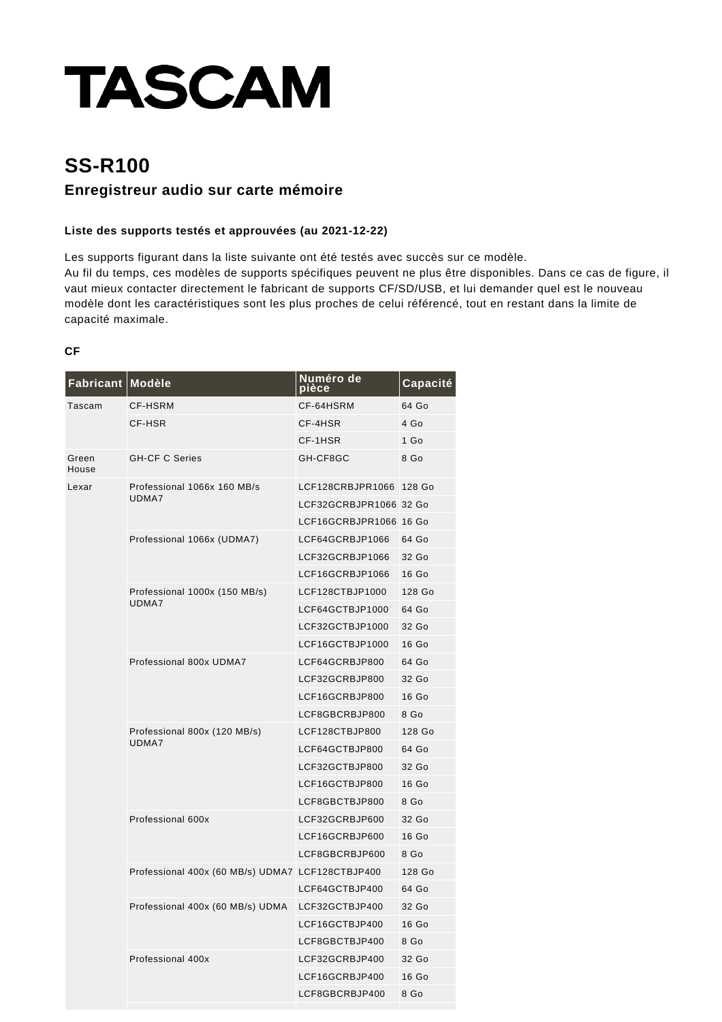# **TASCAM**

## **SS-R100 Enregistreur audio sur carte mémoire**

#### **Liste des supports testés et approuvées (au 2021-12-22)**

Les supports figurant dans la liste suivante ont été testés avec succès sur ce modèle.

Au fil du temps, ces modèles de supports spécifiques peuvent ne plus être disponibles. Dans ce cas de figure, il vaut mieux contacter directement le fabricant de supports CF/SD/USB, et lui demander quel est le nouveau modèle dont les caractéristiques sont les plus proches de celui référencé, tout en restant dans la limite de capacité maximale.

#### **CF**

| Fabricant Modèle |                                                  | Numéro de<br>pièce     | Capacité        |
|------------------|--------------------------------------------------|------------------------|-----------------|
| Tascam           | <b>CF-HSRM</b>                                   | CF-64HSRM              | 64 Go           |
|                  | CF-HSR                                           | CF-4HSR                | 4 Go            |
|                  |                                                  | CF-1HSR                | 1 <sub>Go</sub> |
| Green<br>House   | <b>GH-CF C Series</b>                            | GH-CF8GC               | 8 Go            |
| Lexar            | Professional 1066x 160 MB/s                      | LCF128CRBJPR1066       | 128 Go          |
|                  | UDMA7                                            | LCF32GCRBJPR1066 32 Go |                 |
|                  |                                                  | LCF16GCRBJPR1066 16 Go |                 |
|                  | Professional 1066x (UDMA7)                       | LCF64GCRBJP1066        | 64 Go           |
|                  |                                                  | LCF32GCRBJP1066        | 32 Go           |
|                  |                                                  | LCF16GCRBJP1066        | 16 Go           |
|                  | Professional 1000x (150 MB/s)                    | LCF128CTBJP1000        | 128 Go          |
|                  | UDMA7                                            | LCF64GCTBJP1000        | 64 Go           |
|                  |                                                  | LCF32GCTBJP1000        | 32 Go           |
|                  |                                                  | LCF16GCTBJP1000        | 16 Go           |
|                  | Professional 800x UDMA7                          | LCF64GCRBJP800         | 64 Go           |
|                  |                                                  | LCF32GCRBJP800         | 32 Go           |
|                  |                                                  | LCF16GCRBJP800         | 16 Go           |
|                  |                                                  | LCF8GBCRBJP800         | 8 Go            |
|                  | Professional 800x (120 MB/s)<br>UDMA7            | LCF128CTBJP800         | 128 Go          |
|                  |                                                  | LCF64GCTBJP800         | 64 Go           |
|                  |                                                  | LCF32GCTBJP800         | 32 Go           |
|                  |                                                  | LCF16GCTBJP800         | 16 Go           |
|                  |                                                  | LCF8GBCTBJP800         | 8 Go            |
|                  | Professional 600x                                | LCF32GCRBJP600         | 32 Go           |
|                  |                                                  | LCF16GCRBJP600         | 16 Go           |
|                  |                                                  | LCF8GBCRBJP600         | 8 Go            |
|                  | Professional 400x (60 MB/s) UDMA7 LCF128CTBJP400 |                        | 128 Go          |
|                  |                                                  | LCF64GCTBJP400         | 64 Go           |
|                  | Professional 400x (60 MB/s) UDMA                 | LCF32GCTBJP400         | 32 Go           |
|                  |                                                  | LCF16GCTBJP400         | 16 Go           |
|                  |                                                  | LCF8GBCTBJP400         | 8 Go            |
|                  | Professional 400x                                | LCF32GCRBJP400         | 32 Go           |
|                  |                                                  | LCF16GCRBJP400         | 16 Go           |
|                  |                                                  | LCF8GBCRBJP400         | 8 Go            |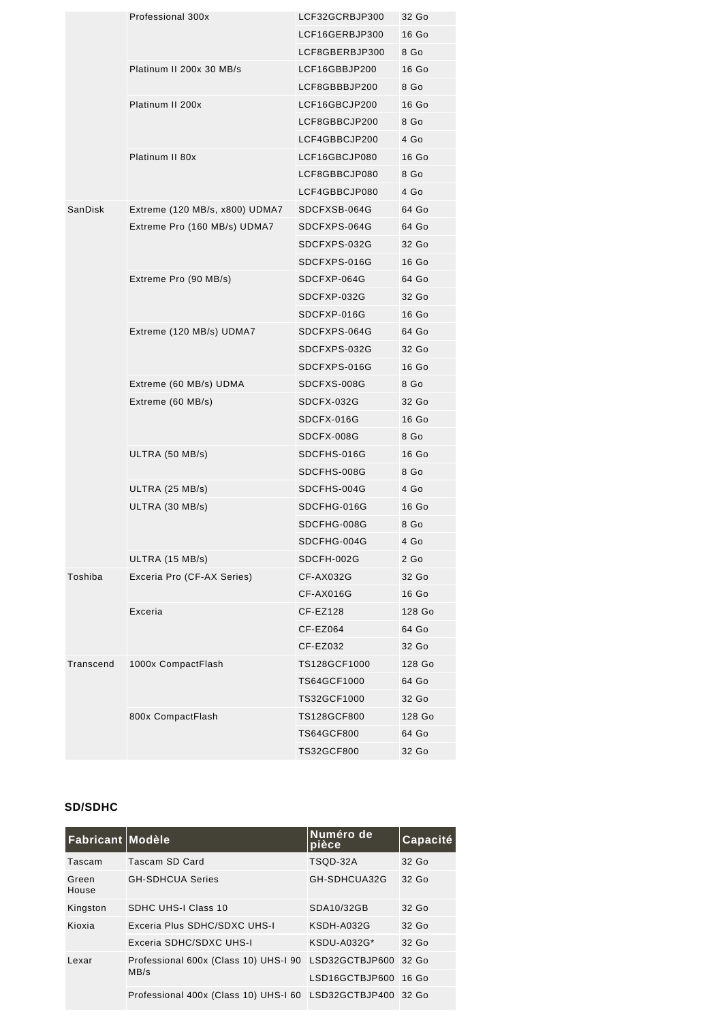|           | Professional 300x              | LCF32GCRBJP300    | 32 Go  |
|-----------|--------------------------------|-------------------|--------|
|           |                                | LCF16GERBJP300    | 16 Go  |
|           |                                | LCF8GBERBJP300    | 8 Go   |
|           | Platinum II 200x 30 MB/s       | LCF16GBBJP200     | 16 Go  |
|           |                                | LCF8GBBBJP200     | 8 Go   |
|           | Platinum II 200x               | LCF16GBCJP200     | 16 Go  |
|           |                                | LCF8GBBCJP200     | 8 Go   |
|           |                                | LCF4GBBCJP200     | 4 Go   |
|           | Platinum II 80x                | LCF16GBCJP080     | 16 Go  |
|           |                                | LCF8GBBCJP080     | 8 Go   |
|           |                                | LCF4GBBCJP080     | 4 Go   |
| SanDisk   | Extreme (120 MB/s, x800) UDMA7 | SDCFXSB-064G      | 64 Go  |
|           | Extreme Pro (160 MB/s) UDMA7   | SDCFXPS-064G      | 64 Go  |
|           |                                | SDCFXPS-032G      | 32 Go  |
|           |                                | SDCFXPS-016G      | 16 Go  |
|           | Extreme Pro (90 MB/s)          | SDCFXP-064G       | 64 Go  |
|           |                                | SDCFXP-032G       | 32 Go  |
|           |                                | SDCFXP-016G       | 16 Go  |
|           | Extreme (120 MB/s) UDMA7       | SDCFXPS-064G      | 64 Go  |
|           |                                | SDCFXPS-032G      | 32 Go  |
|           |                                | SDCFXPS-016G      | 16 Go  |
|           | Extreme (60 MB/s) UDMA         | SDCFXS-008G       | 8 Go   |
|           | Extreme (60 MB/s)              | SDCFX-032G        | 32 Go  |
|           |                                | SDCFX-016G        | 16 Go  |
|           |                                | SDCFX-008G        | 8 Go   |
|           | ULTRA (50 MB/s)                | SDCFHS-016G       | 16 Go  |
|           |                                | SDCFHS-008G       | 8 Go   |
|           | ULTRA (25 MB/s)                | SDCFHS-004G       | 4 Go   |
|           | ULTRA (30 MB/s)                | SDCFHG-016G       | 16 Go  |
|           |                                | SDCFHG-008G       | 8 Go   |
|           |                                | SDCFHG-004G       | 4 Go   |
|           | ULTRA (15 MB/s)                | SDCFH-002G        | $2$ Go |
| Toshiba   | Exceria Pro (CF-AX Series)     | CF-AX032G         | 32 Go  |
|           |                                | CF-AX016G         | 16 Go  |
|           | Exceria                        | CF-EZ128          | 128 Go |
|           |                                | CF-EZ064          | 64 Go  |
|           |                                | CF-EZ032          | 32 Go  |
| Transcend | 1000x CompactFlash             | TS128GCF1000      | 128 Go |
|           |                                | TS64GCF1000       | 64 Go  |
|           |                                | TS32GCF1000       | 32 Go  |
|           | 800x CompactFlash              | TS128GCF800       | 128 Go |
|           |                                | <b>TS64GCF800</b> | 64 Go  |
|           |                                | TS32GCF800        | 32 Go  |

#### **SD/SDHC**

| Fabricant Modèle |                                                              | Numéro de<br>pièce | Capacité |
|------------------|--------------------------------------------------------------|--------------------|----------|
| Tascam           | Tascam SD Card                                               | TSOD-32A           | 32 Go    |
| Green<br>House   | <b>GH-SDHCUA Series</b>                                      | GH-SDHCUA32G       | 32 Go    |
| Kingston         | SDHC UHS-I Class 10                                          | SDA10/32GB         | $32$ Go  |
| Kioxia           | Exceria Plus SDHC/SDXC UHS-I                                 | KSDH-A032G         | 32 Go    |
|                  | Exceria SDHC/SDXC UHS-I                                      | KSDU-A032G*        | 32 Go    |
| Lexar            | Professional 600x (Class 10) UHS-I 90 LSD32GCTBJP600<br>MB/s |                    | 32 Go    |
|                  |                                                              | LSD16GCTBJP600     | $16$ Go  |
|                  | Professional 400x (Class 10) UHS-I 60 LSD32GCTBJP400         |                    | 32 Go    |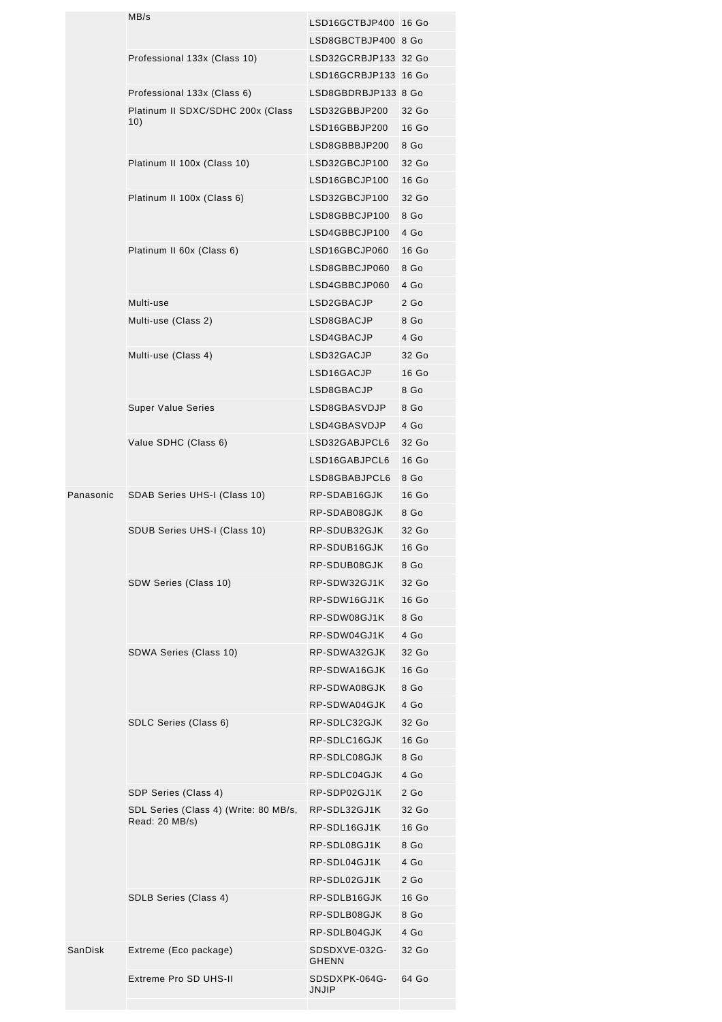|           | MB/s                                  | LSD16GCTBJP400 16 Go          |                 |
|-----------|---------------------------------------|-------------------------------|-----------------|
|           |                                       | LSD8GBCTBJP400 8 Go           |                 |
|           | Professional 133x (Class 10)          | LSD32GCRBJP133 32 Go          |                 |
|           |                                       | LSD16GCRBJP133 16 Go          |                 |
|           | Professional 133x (Class 6)           | LSD8GBDRBJP133 8 Go           |                 |
|           | Platinum II SDXC/SDHC 200x (Class     | LSD32GBBJP200                 | 32 Go           |
|           | 10)                                   | LSD16GBBJP200                 | 16 Go           |
|           |                                       | LSD8GBBBJP200                 | 8 Go            |
|           | Platinum II 100x (Class 10)           | LSD32GBCJP100                 | 32 Go           |
|           |                                       | LSD16GBCJP100                 | 16 Go           |
|           | Platinum II 100x (Class 6)            | LSD32GBCJP100                 | 32 Go           |
|           |                                       | LSD8GBBCJP100                 | 8 Go            |
|           |                                       | LSD4GBBCJP100                 | 4 Go            |
|           | Platinum II 60x (Class 6)             | LSD16GBCJP060                 | 16 Go           |
|           |                                       | LSD8GBBCJP060                 | 8 Go            |
|           |                                       | LSD4GBBCJP060                 | 4 Go            |
|           | Multi-use                             | LSD2GBACJP                    | 2 <sub>Go</sub> |
|           |                                       |                               | 8 Go            |
|           | Multi-use (Class 2)                   | LSD8GBACJP                    |                 |
|           |                                       | LSD4GBACJP                    | 4 Go            |
|           | Multi-use (Class 4)                   | LSD32GACJP                    | 32 Go           |
|           |                                       | LSD16GACJP                    | 16 Go           |
|           |                                       | LSD8GBACJP                    | 8 Go            |
|           | <b>Super Value Series</b>             | LSD8GBASVDJP                  | 8 Go            |
|           |                                       | LSD4GBASVDJP                  | 4 Go            |
|           | Value SDHC (Class 6)                  | LSD32GABJPCL6                 | 32 Go           |
|           |                                       | LSD16GABJPCL6                 | 16 Go           |
|           |                                       | LSD8GBABJPCL6                 | 8 Go            |
| Panasonic | SDAB Series UHS-I (Class 10)          | RP-SDAB16GJK                  | 16 Go           |
|           |                                       | RP-SDAB08GJK                  | 8 Go            |
|           | SDUB Series UHS-I (Class 10)          | RP-SDUB32GJK                  | 32 Go           |
|           |                                       | RP-SDUB16GJK                  | 16 Go           |
|           |                                       | RP-SDUB08GJK                  | 8 Go            |
|           | SDW Series (Class 10)                 | RP-SDW32GJ1K                  | 32 Go           |
|           |                                       | RP-SDW16GJ1K                  | 16 Go           |
|           |                                       | RP-SDW08GJ1K                  | 8 Go            |
|           |                                       | RP-SDW04GJ1K                  | 4 Go            |
|           | SDWA Series (Class 10)                | RP-SDWA32GJK                  | 32 Go           |
|           |                                       | RP-SDWA16GJK                  | 16 Go           |
|           |                                       | RP-SDWA08GJK                  | 8 Go            |
|           |                                       | RP-SDWA04GJK                  | 4 Go            |
|           | SDLC Series (Class 6)                 | RP-SDLC32GJK                  | 32 Go           |
|           |                                       | RP-SDLC16GJK                  | 16 Go           |
|           |                                       | RP-SDLC08GJK                  | 8 Go            |
|           |                                       | RP-SDLC04GJK                  | 4 Go            |
|           | SDP Series (Class 4)                  | RP-SDP02GJ1K                  | 2 <sub>Go</sub> |
|           | SDL Series (Class 4) (Write: 80 MB/s, | RP-SDL32GJ1K                  | 32 Go           |
|           | Read: 20 MB/s)                        | RP-SDL16GJ1K                  | 16 Go           |
|           |                                       | RP-SDL08GJ1K                  | 8 Go            |
|           |                                       | RP-SDL04GJ1K                  | 4 Go            |
|           |                                       | RP-SDL02GJ1K                  | 2 <sub>Go</sub> |
|           |                                       | RP-SDLB16GJK                  | 16 Go           |
|           | SDLB Series (Class 4)                 | RP-SDLB08GJK                  | 8 Go            |
|           |                                       |                               |                 |
|           |                                       | RP-SDLB04GJK                  | 4 Go<br>32 Go   |
| SanDisk   | Extreme (Eco package)                 | SDSDXVE-032G-<br><b>GHENN</b> |                 |
|           | Extreme Pro SD UHS-II                 | SDSDXPK-064G-<br>JNJIP        | 64 Go           |
|           |                                       |                               |                 |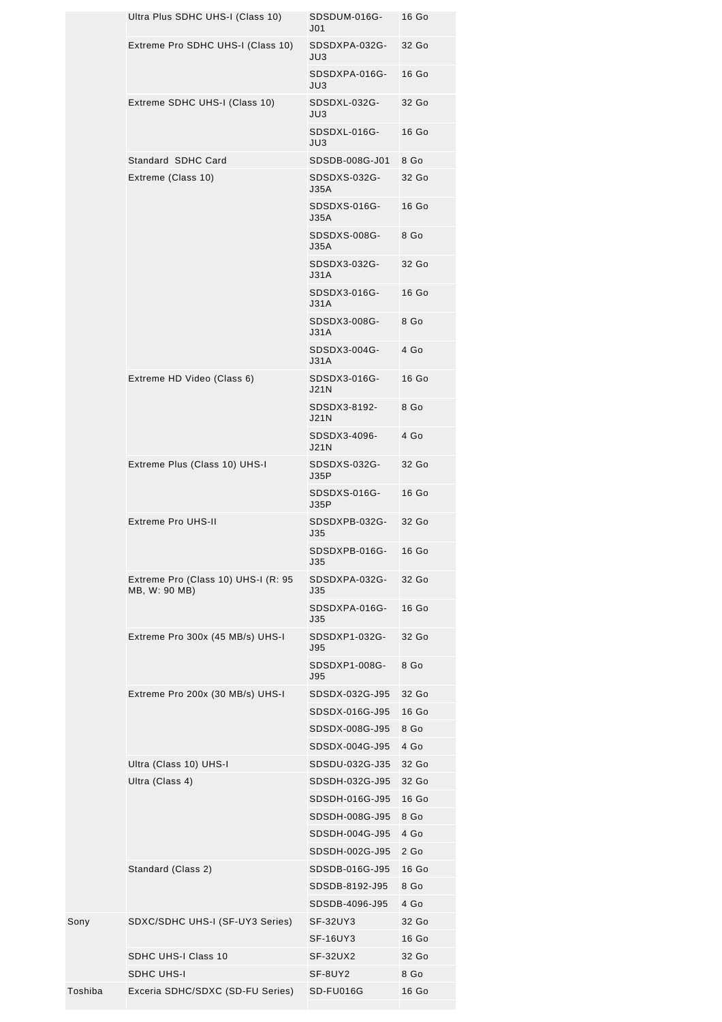|         | Ultra Plus SDHC UHS-I (Class 10)                     | SDSDUM-016G-<br>J <sub>01</sub> | 16 Go           |
|---------|------------------------------------------------------|---------------------------------|-----------------|
|         | Extreme Pro SDHC UHS-I (Class 10)                    | SDSDXPA-032G-<br>JU3            | 32 Go           |
|         |                                                      | SDSDXPA-016G-<br>JU3            | 16 Go           |
|         | Extreme SDHC UHS-I (Class 10)                        | SDSDXL-032G-<br>JU3             | 32 Go           |
|         |                                                      | SDSDXL-016G-<br>JU3             | 16 Go           |
|         | Standard SDHC Card                                   | SDSDB-008G-J01                  | 8 Go            |
|         | Extreme (Class 10)                                   | SDSDXS-032G-<br>J35A            | 32 Go           |
|         |                                                      | SDSDXS-016G-<br>J35A            | 16 Go           |
|         |                                                      | SDSDXS-008G-<br><b>J35A</b>     | 8 Go            |
|         |                                                      | SDSDX3-032G-<br>J31A            | 32 Go           |
|         |                                                      | SDSDX3-016G-<br>J31A            | 16 Go           |
|         |                                                      | SDSDX3-008G-<br>J31A            | 8 Go            |
|         |                                                      | SDSDX3-004G-<br>J31A            | 4 Go            |
|         | Extreme HD Video (Class 6)                           | SDSDX3-016G-<br>J21N            | 16 Go           |
|         |                                                      | SDSDX3-8192-<br>J21N            | 8 Go            |
|         |                                                      | SDSDX3-4096-<br>J21N            | 4 Go            |
|         | Extreme Plus (Class 10) UHS-I                        | SDSDXS-032G-<br>J35P            | 32 Go           |
|         |                                                      | SDSDXS-016G-<br>J35P            | 16 Go           |
|         | <b>Extreme Pro UHS-II</b>                            | SDSDXPB-032G-<br>J35            | 32 Go           |
|         |                                                      | SDSDXPB-016G-<br><b>J35</b>     | 16 Go           |
|         | Extreme Pro (Class 10) UHS-I (R: 95<br>MB, W: 90 MB) | SDSDXPA-032G-<br>J35            | 32 Go           |
|         |                                                      | SDSDXPA-016G-<br>J35            | 16 Go           |
|         | Extreme Pro 300x (45 MB/s) UHS-I                     | SDSDXP1-032G-<br><b>J95</b>     | 32 Go           |
|         |                                                      | SDSDXP1-008G-<br>J95            | 8 Go            |
|         | Extreme Pro 200x (30 MB/s) UHS-I                     | SDSDX-032G-J95                  | 32 Go           |
|         |                                                      | SDSDX-016G-J95                  | 16 Go           |
|         |                                                      | SDSDX-008G-J95                  | 8 Go            |
|         |                                                      | SDSDX-004G-J95                  | 4 Go            |
|         | Ultra (Class 10) UHS-I                               | SDSDU-032G-J35                  | 32 Go           |
|         | Ultra (Class 4)                                      | SDSDH-032G-J95                  | 32 Go           |
|         |                                                      | SDSDH-016G-J95                  | 16 Go           |
|         |                                                      | SDSDH-008G-J95                  | 8 Go            |
|         |                                                      | SDSDH-004G-J95                  | 4 Go            |
|         |                                                      | SDSDH-002G-J95                  | 2 <sub>Go</sub> |
|         | Standard (Class 2)                                   | SDSDB-016G-J95                  | 16 Go           |
|         |                                                      | SDSDB-8192-J95                  | 8 Go            |
|         |                                                      | SDSDB-4096-J95                  | 4 Go            |
| Sony    | SDXC/SDHC UHS-I (SF-UY3 Series)                      | SF-32UY3                        | 32 Go           |
|         |                                                      | SF-16UY3                        | 16 Go           |
|         | <b>SDHC UHS-I Class 10</b>                           | SF-32UX2                        | 32 Go           |
|         | <b>SDHC UHS-I</b>                                    | SF-8UY2                         | 8 Go            |
| Toshiba | Exceria SDHC/SDXC (SD-FU Series)                     | SD-FU016G                       | 16 Go           |
|         |                                                      |                                 |                 |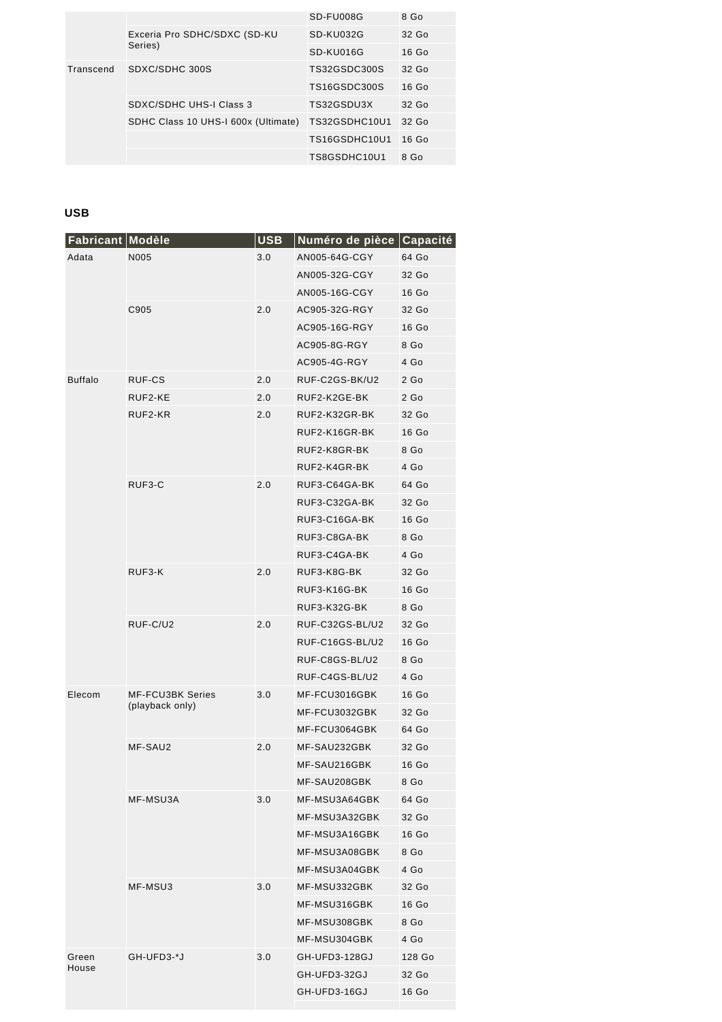|           |                                     | SD-FU008G     | 8 Go    |
|-----------|-------------------------------------|---------------|---------|
|           | Exceria Pro SDHC/SDXC (SD-KU        | SD-KU032G     | $32$ Go |
|           | Series)                             | SD-KU016G     | $16$ Go |
| Transcend | SDXC/SDHC 300S                      | TS32GSDC300S  | 32 Go   |
|           |                                     | TS16GSDC300S  | $16$ Go |
|           | SDXC/SDHC UHS-I Class 3             | TS32GSDU3X    | 32 Go   |
|           | SDHC Class 10 UHS-I 600x (Ultimate) | TS32GSDHC10U1 | 32 Go   |
|           |                                     | TS16GSDHC10U1 | $16$ Go |
|           |                                     | TS8GSDHC10U1  | 8 Go    |
|           |                                     |               |         |

### **USB**

| Fabricant Modèle |                                            | <b>USB</b> | Numéro de pièce | Capacité        |
|------------------|--------------------------------------------|------------|-----------------|-----------------|
| Adata            | N005                                       | 3.0        | AN005-64G-CGY   | 64 Go           |
|                  |                                            |            | AN005-32G-CGY   | 32 Go           |
|                  |                                            |            | AN005-16G-CGY   | 16 Go           |
|                  | C905                                       | 2.0        | AC905-32G-RGY   | 32 Go           |
|                  |                                            |            | AC905-16G-RGY   | 16 Go           |
|                  |                                            |            | AC905-8G-RGY    | 8 Go            |
|                  |                                            |            | AC905-4G-RGY    | 4 Go            |
| <b>Buffalo</b>   | RUF-CS                                     | 2.0        | RUF-C2GS-BK/U2  | 2 <sub>Go</sub> |
|                  | RUF2-KE                                    | 2.0        | RUF2-K2GE-BK    | 2 <sub>Go</sub> |
|                  | RUF2-KR                                    | 2.0        | RUF2-K32GR-BK   | 32 Go           |
|                  |                                            |            | RUF2-K16GR-BK   | 16 Go           |
|                  |                                            |            | RUF2-K8GR-BK    | 8 Go            |
|                  |                                            |            | RUF2-K4GR-BK    | 4 Go            |
|                  | RUF3-C                                     | 2.0        | RUF3-C64GA-BK   | 64 Go           |
|                  |                                            |            | RUF3-C32GA-BK   | 32 Go           |
|                  |                                            |            | RUF3-C16GA-BK   | 16 Go           |
|                  |                                            |            | RUF3-C8GA-BK    | 8 Go            |
|                  |                                            |            | RUF3-C4GA-BK    | 4 Go            |
|                  | RUF3-K                                     | 2.0        | RUF3-K8G-BK     | 32 Go           |
|                  |                                            |            | RUF3-K16G-BK    | 16 Go           |
|                  |                                            |            | RUF3-K32G-BK    | 8 Go            |
|                  | RUF-C/U2                                   | 2.0        | RUF-C32GS-BL/U2 | 32 Go           |
|                  |                                            |            | RUF-C16GS-BL/U2 | 16 Go           |
|                  |                                            |            | RUF-C8GS-BL/U2  | 8 Go            |
|                  |                                            |            | RUF-C4GS-BL/U2  | 4 Go            |
| Elecom           | <b>MF-FCU3BK Series</b><br>(playback only) | 3.0        | MF-FCU3016GBK   | 16 Go           |
|                  |                                            |            | MF-FCU3032GBK   | 32 Go           |
|                  |                                            |            | MF-FCU3064GBK   | 64 Go           |
|                  | MF-SAU2                                    | 2.0        | MF-SAU232GBK    | 32 Go           |
|                  |                                            |            | MF-SAU216GBK    | 16 Go           |
|                  |                                            |            | MF-SAU208GBK    | 8 Go            |
|                  | MF-MSU3A                                   | 3.0        | MF-MSU3A64GBK   | 64 Go           |
|                  |                                            |            | MF-MSU3A32GBK   | 32 Go           |
|                  |                                            |            | MF-MSU3A16GBK   | 16 Go           |
|                  |                                            |            | MF-MSU3A08GBK   | 8 Go            |
|                  |                                            |            | MF-MSU3A04GBK   | 4 Go            |
|                  | MF-MSU3                                    | 3.0        | MF-MSU332GBK    | 32 Go           |
|                  |                                            |            | MF-MSU316GBK    | 16 Go           |
|                  |                                            |            | MF-MSU308GBK    | 8 Go            |
|                  |                                            |            | MF-MSU304GBK    | 4 Go            |
| Green<br>House   | GH-UFD3-*J                                 | 3.0        | GH-UFD3-128GJ   | 128 Go          |
|                  |                                            |            | GH-UFD3-32GJ    | 32 Go           |
|                  |                                            |            | GH-UFD3-16GJ    | 16 Go           |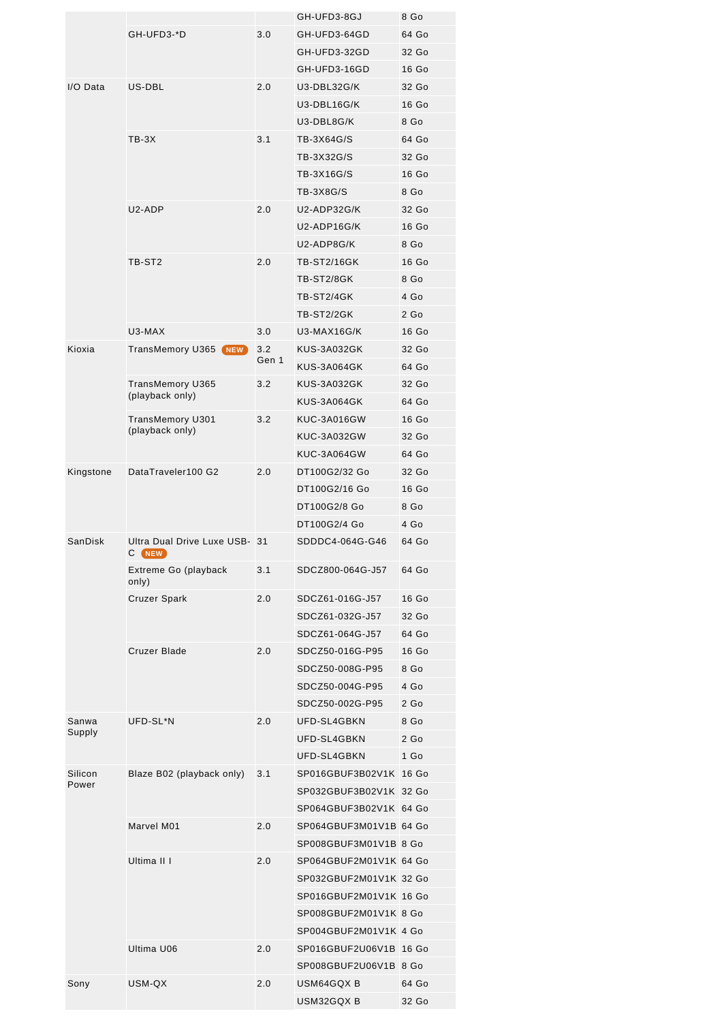|           |                                            |       | GH-UFD3-8GJ            | 8 Go            |
|-----------|--------------------------------------------|-------|------------------------|-----------------|
|           | GH-UFD3-*D                                 | 3.0   | GH-UFD3-64GD           | 64 Go           |
|           |                                            |       | GH-UFD3-32GD           | 32 Go           |
|           |                                            |       | GH-UFD3-16GD           | 16 Go           |
| I/O Data  | US-DBL                                     | 2.0   | U3-DBL32G/K            | 32 Go           |
|           |                                            |       | U3-DBL16G/K            | 16 Go           |
|           |                                            |       | U3-DBL8G/K             | 8 Go            |
|           | $TB-3X$                                    | 3.1   | TB-3X64G/S             | 64 Go           |
|           |                                            |       | TB-3X32G/S             | 32 Go           |
|           |                                            |       | TB-3X16G/S             | 16 Go           |
|           |                                            |       | <b>TB-3X8G/S</b>       | 8 Go            |
|           | U2-ADP                                     | 2.0   | U2-ADP32G/K            | 32 Go           |
|           |                                            |       | U2-ADP16G/K            | 16 Go           |
|           |                                            |       | U2-ADP8G/K             | 8 Go            |
|           | TB-ST <sub>2</sub>                         | 2.0   | <b>TB-ST2/16GK</b>     | 16 Go           |
|           |                                            |       | TB-ST2/8GK             | 8 Go            |
|           |                                            |       | TB-ST2/4GK             | 4 <sub>Go</sub> |
|           |                                            |       | TB-ST2/2GK             | 2 <sub>60</sub> |
|           | U3-MAX                                     | 3.0   | U3-MAX16G/K            | 16 Go           |
| Kioxia    | <b>TransMemory U365 NEW</b>                | 3.2   | <b>KUS-3A032GK</b>     | 32 Go           |
|           |                                            | Gen 1 | KUS-3A064GK            | 64 Go           |
|           |                                            | 3.2   |                        |                 |
|           | <b>TransMemory U365</b><br>(playback only) |       | KUS-3A032GK            | 32 Go           |
|           |                                            |       | KUS-3A064GK            | 64 Go           |
|           | TransMemory U301<br>(playback only)        | 3.2   | KUC-3A016GW            | 16 Go           |
|           |                                            |       | <b>KUC-3A032GW</b>     | 32 Go           |
|           |                                            |       | KUC-3A064GW            | 64 Go           |
| Kingstone | DataTraveler100 G2                         | 2.0   | DT100G2/32 Go          | 32 Go           |
|           |                                            |       | DT100G2/16 Go          | 16 Go           |
|           |                                            |       | DT100G2/8 Go           | 8 Go            |
|           |                                            |       | DT100G2/4 Go           | 4 Go            |
| SanDisk   | Ultra Dual Drive Luxe USB- 31<br>С<br>NEW  |       | SDDDC4-064G-G46        | 64 Go           |
|           | Extreme Go (playback<br>only)              | 3.1   | SDCZ800-064G-J57       | 64 Go           |
|           | <b>Cruzer Spark</b>                        | 2.0   | SDCZ61-016G-J57        | 16 Go           |
|           |                                            |       | SDCZ61-032G-J57        | 32 Go           |
|           |                                            |       | SDCZ61-064G-J57        | 64 Go           |
|           | Cruzer Blade                               | 2.0   | SDCZ50-016G-P95        | 16 Go           |
|           |                                            |       | SDCZ50-008G-P95        | 8 Go            |
|           |                                            |       | SDCZ50-004G-P95        | 4 Go            |
|           |                                            |       | SDCZ50-002G-P95        | 2 <sub>60</sub> |
| Sanwa     | UFD-SL*N                                   | 2.0   | UFD-SL4GBKN            | 8 Go            |
| Supply    |                                            |       | UFD-SL4GBKN            | 2 <sub>60</sub> |
|           |                                            |       | UFD-SL4GBKN            | 1 <sub>Go</sub> |
| Silicon   | Blaze B02 (playback only)                  | 3.1   | SP016GBUF3B02V1K 16 Go |                 |
| Power     |                                            |       | SP032GBUF3B02V1K 32 Go |                 |
|           |                                            |       | SP064GBUF3B02V1K 64 Go |                 |
|           | Marvel M01                                 | 2.0   | SP064GBUF3M01V1B 64 Go |                 |
|           |                                            |       | SP008GBUF3M01V1B 8 Go  |                 |
|           | Ultima II I                                | 2.0   | SP064GBUF2M01V1K 64 Go |                 |
|           |                                            |       | SP032GBUF2M01V1K 32 Go |                 |
|           |                                            |       | SP016GBUF2M01V1K 16 Go |                 |
|           |                                            |       | SP008GBUF2M01V1K 8 Go  |                 |
|           |                                            |       | SP004GBUF2M01V1K 4 Go  |                 |
|           | Ultima U06                                 | 2.0   | SP016GBUF2U06V1B 16 Go |                 |
|           |                                            |       | SP008GBUF2U06V1B 8 Go  |                 |
| Sony      | USM-QX                                     | 2.0   | USM64GQXB              | 64 Go           |
|           |                                            |       | USM32GQX B             | 32 Go           |